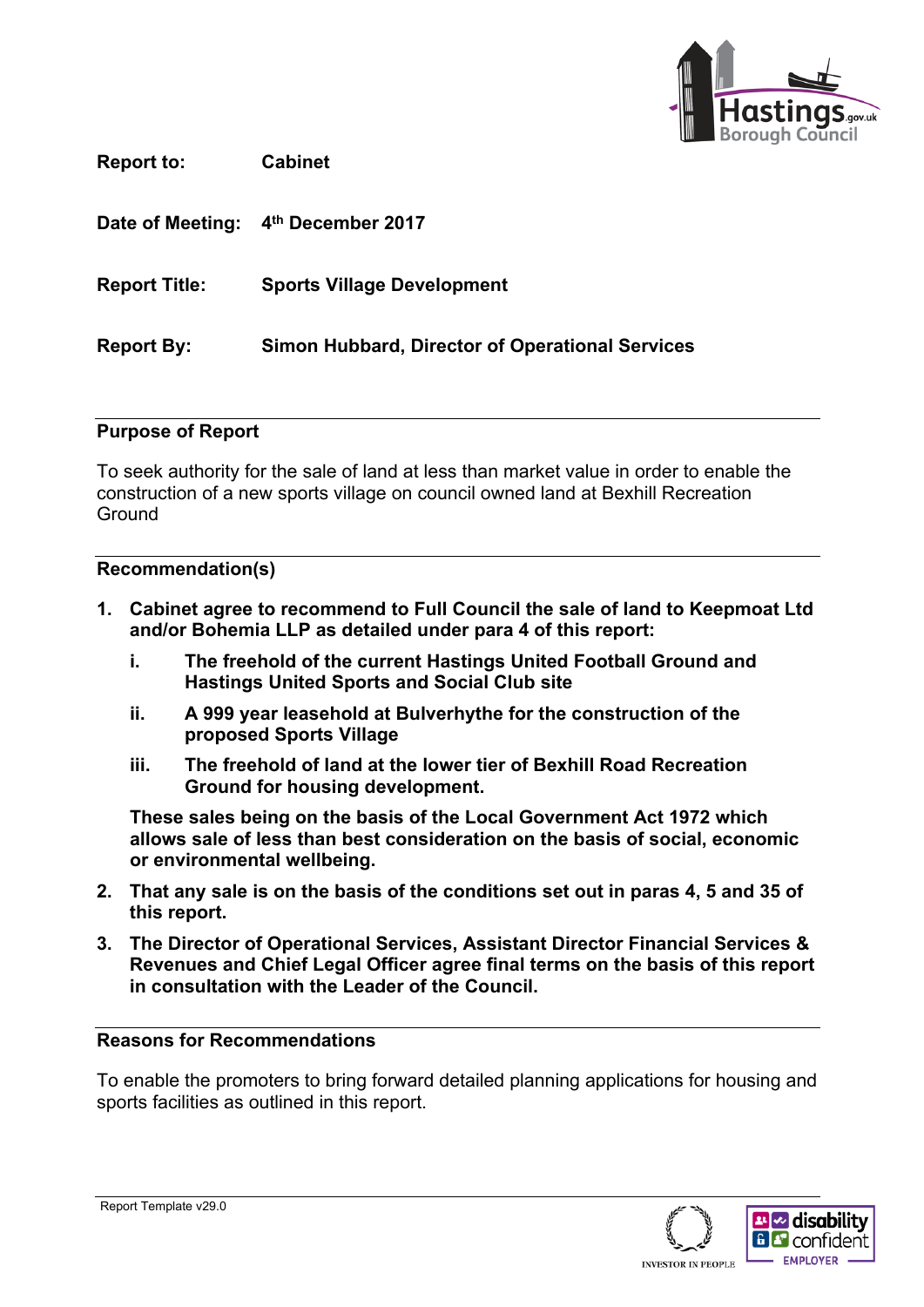

**Report to: Cabinet**

**Date of Meeting: 4 th December 2017**

**Report Title: Sports Village Development**

**Report By: Simon Hubbard, Director of Operational Services**

#### **Purpose of Report**

To seek authority for the sale of land at less than market value in order to enable the construction of a new sports village on council owned land at Bexhill Recreation **Ground** 

#### **Recommendation(s)**

- **1. Cabinet agree to recommend to Full Council the sale of land to Keepmoat Ltd and/or Bohemia LLP as detailed under para 4 of this report:**
	- **i. The freehold of the current Hastings United Football Ground and Hastings United Sports and Social Club site**
	- **ii. A 999 year leasehold at Bulverhythe for the construction of the proposed Sports Village**
	- **iii. The freehold of land at the lower tier of Bexhill Road Recreation Ground for housing development.**

**These sales being on the basis of the Local Government Act 1972 which allows sale of less than best consideration on the basis of social, economic or environmental wellbeing.**

- **2. That any sale is on the basis of the conditions set out in paras 4, 5 and 35 of this report.**
- **3. The Director of Operational Services, Assistant Director Financial Services & Revenues and Chief Legal Officer agree final terms on the basis of this report in consultation with the Leader of the Council.**

#### **Reasons for Recommendations**

To enable the promoters to bring forward detailed planning applications for housing and sports facilities as outlined in this report.

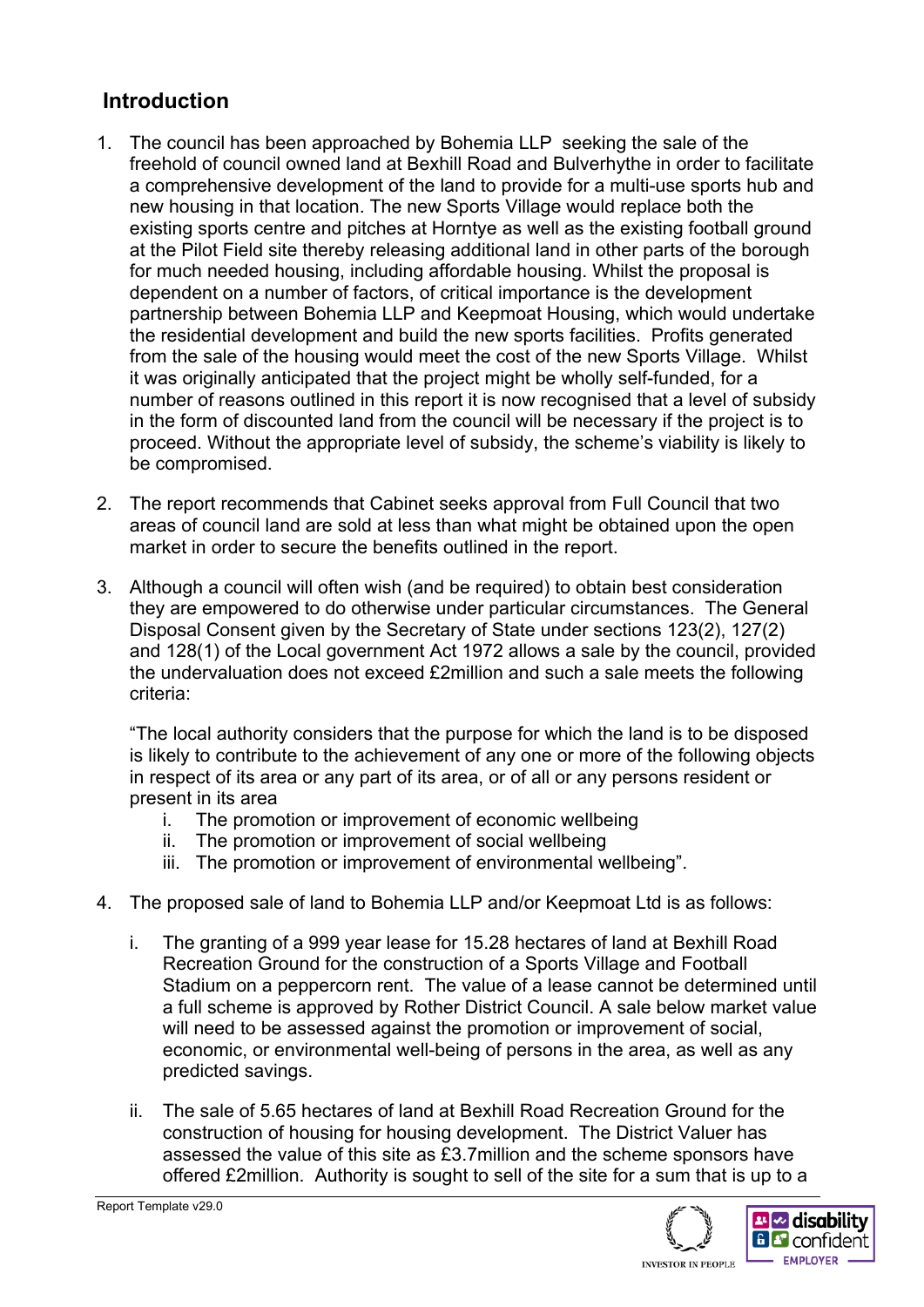## **Introduction**

- 1. The council has been approached by Bohemia LLP seeking the sale of the freehold of council owned land at Bexhill Road and Bulverhythe in order to facilitate a comprehensive development of the land to provide for a multi-use sports hub and new housing in that location. The new Sports Village would replace both the existing sports centre and pitches at Horntye as well as the existing football ground at the Pilot Field site thereby releasing additional land in other parts of the borough for much needed housing, including affordable housing. Whilst the proposal is dependent on a number of factors, of critical importance is the development partnership between Bohemia LLP and Keepmoat Housing, which would undertake the residential development and build the new sports facilities. Profits generated from the sale of the housing would meet the cost of the new Sports Village. Whilst it was originally anticipated that the project might be wholly self-funded, for a number of reasons outlined in this report it is now recognised that a level of subsidy in the form of discounted land from the council will be necessary if the project is to proceed. Without the appropriate level of subsidy, the scheme's viability is likely to be compromised.
- 2. The report recommends that Cabinet seeks approval from Full Council that two areas of council land are sold at less than what might be obtained upon the open market in order to secure the benefits outlined in the report.
- 3. Although a council will often wish (and be required) to obtain best consideration they are empowered to do otherwise under particular circumstances. The General Disposal Consent given by the Secretary of State under sections 123(2), 127(2) and 128(1) of the Local government Act 1972 allows a sale by the council, provided the undervaluation does not exceed £2million and such a sale meets the following criteria:

"The local authority considers that the purpose for which the land is to be disposed is likely to contribute to the achievement of any one or more of the following objects in respect of its area or any part of its area, or of all or any persons resident or present in its area

- i. The promotion or improvement of economic wellbeing
- ii. The promotion or improvement of social wellbeing
- iii. The promotion or improvement of environmental wellbeing".
- 4. The proposed sale of land to Bohemia LLP and/or Keepmoat Ltd is as follows:
	- i. The granting of a 999 year lease for 15.28 hectares of land at Bexhill Road Recreation Ground for the construction of a Sports Village and Football Stadium on a peppercorn rent. The value of a lease cannot be determined until a full scheme is approved by Rother District Council. A sale below market value will need to be assessed against the promotion or improvement of social, economic, or environmental well-being of persons in the area, as well as any predicted savings.
	- ii. The sale of 5.65 hectares of land at Bexhill Road Recreation Ground for the construction of housing for housing development. The District Valuer has assessed the value of this site as £3.7million and the scheme sponsors have offered £2million. Authority is sought to sell of the site for a sum that is up to a





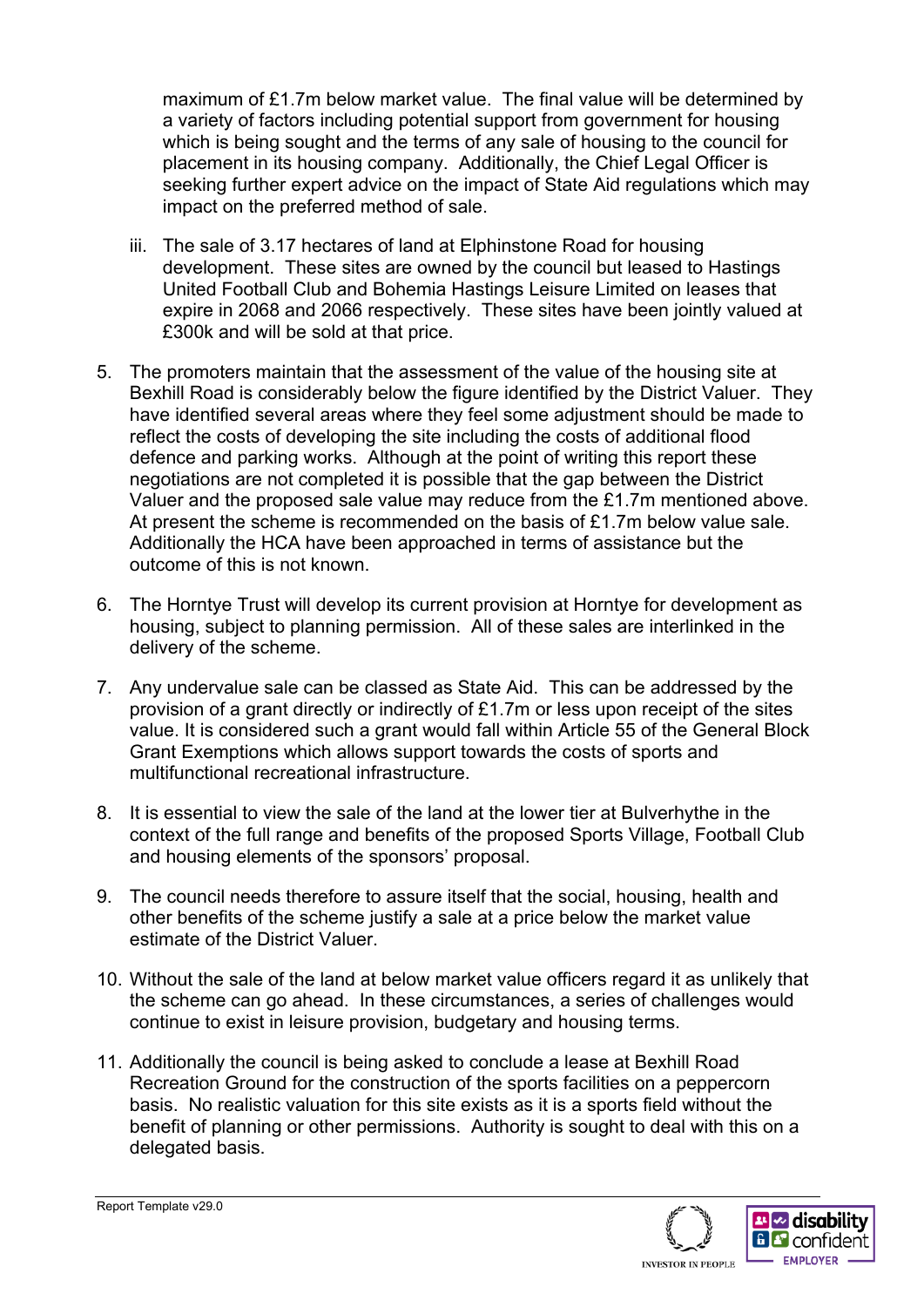maximum of £1.7m below market value. The final value will be determined by a variety of factors including potential support from government for housing which is being sought and the terms of any sale of housing to the council for placement in its housing company. Additionally, the Chief Legal Officer is seeking further expert advice on the impact of State Aid regulations which may impact on the preferred method of sale.

- iii. The sale of 3.17 hectares of land at Elphinstone Road for housing development. These sites are owned by the council but leased to Hastings United Football Club and Bohemia Hastings Leisure Limited on leases that expire in 2068 and 2066 respectively. These sites have been jointly valued at £300k and will be sold at that price.
- 5. The promoters maintain that the assessment of the value of the housing site at Bexhill Road is considerably below the figure identified by the District Valuer. They have identified several areas where they feel some adjustment should be made to reflect the costs of developing the site including the costs of additional flood defence and parking works. Although at the point of writing this report these negotiations are not completed it is possible that the gap between the District Valuer and the proposed sale value may reduce from the £1.7m mentioned above. At present the scheme is recommended on the basis of £1.7m below value sale. Additionally the HCA have been approached in terms of assistance but the outcome of this is not known.
- 6. The Horntye Trust will develop its current provision at Horntye for development as housing, subject to planning permission. All of these sales are interlinked in the delivery of the scheme.
- 7. Any undervalue sale can be classed as State Aid. This can be addressed by the provision of a grant directly or indirectly of £1.7m or less upon receipt of the sites value. It is considered such a grant would fall within Article 55 of the General Block Grant Exemptions which allows support towards the costs of sports and multifunctional recreational infrastructure.
- 8. It is essential to view the sale of the land at the lower tier at Bulverhythe in the context of the full range and benefits of the proposed Sports Village, Football Club and housing elements of the sponsors' proposal.
- 9. The council needs therefore to assure itself that the social, housing, health and other benefits of the scheme justify a sale at a price below the market value estimate of the District Valuer.
- 10. Without the sale of the land at below market value officers regard it as unlikely that the scheme can go ahead. In these circumstances, a series of challenges would continue to exist in leisure provision, budgetary and housing terms.
- 11. Additionally the council is being asked to conclude a lease at Bexhill Road Recreation Ground for the construction of the sports facilities on a peppercorn basis. No realistic valuation for this site exists as it is a sports field without the benefit of planning or other permissions. Authority is sought to deal with this on a delegated basis.

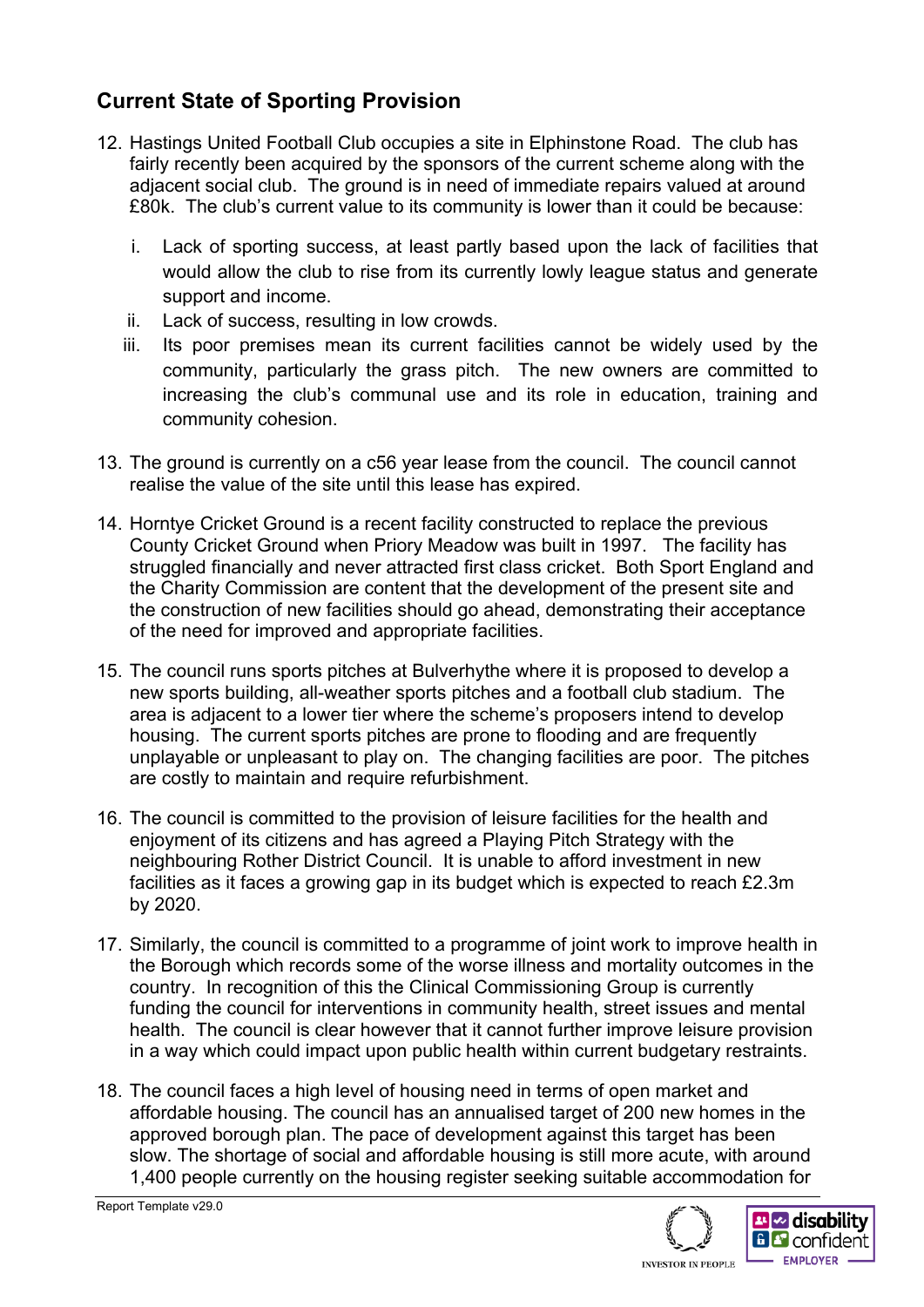## **Current State of Sporting Provision**

- 12. Hastings United Football Club occupies a site in Elphinstone Road. The club has fairly recently been acquired by the sponsors of the current scheme along with the adjacent social club. The ground is in need of immediate repairs valued at around £80k. The club's current value to its community is lower than it could be because:
	- i. Lack of sporting success, at least partly based upon the lack of facilities that would allow the club to rise from its currently lowly league status and generate support and income.
	- ii. Lack of success, resulting in low crowds.
	- iii. Its poor premises mean its current facilities cannot be widely used by the community, particularly the grass pitch. The new owners are committed to increasing the club's communal use and its role in education, training and community cohesion.
- 13. The ground is currently on a c56 year lease from the council. The council cannot realise the value of the site until this lease has expired.
- 14. Horntye Cricket Ground is a recent facility constructed to replace the previous County Cricket Ground when Priory Meadow was built in 1997. The facility has struggled financially and never attracted first class cricket. Both Sport England and the Charity Commission are content that the development of the present site and the construction of new facilities should go ahead, demonstrating their acceptance of the need for improved and appropriate facilities.
- 15. The council runs sports pitches at Bulverhythe where it is proposed to develop a new sports building, all-weather sports pitches and a football club stadium. The area is adjacent to a lower tier where the scheme's proposers intend to develop housing. The current sports pitches are prone to flooding and are frequently unplayable or unpleasant to play on. The changing facilities are poor. The pitches are costly to maintain and require refurbishment.
- 16. The council is committed to the provision of leisure facilities for the health and enjoyment of its citizens and has agreed a Playing Pitch Strategy with the neighbouring Rother District Council. It is unable to afford investment in new facilities as it faces a growing gap in its budget which is expected to reach £2.3m by 2020.
- 17. Similarly, the council is committed to a programme of joint work to improve health in the Borough which records some of the worse illness and mortality outcomes in the country. In recognition of this the Clinical Commissioning Group is currently funding the council for interventions in community health, street issues and mental health. The council is clear however that it cannot further improve leisure provision in a way which could impact upon public health within current budgetary restraints.
- 18. The council faces a high level of housing need in terms of open market and affordable housing. The council has an annualised target of 200 new homes in the approved borough plan. The pace of development against this target has been slow. The shortage of social and affordable housing is still more acute, with around 1,400 people currently on the housing register seeking suitable accommodation for



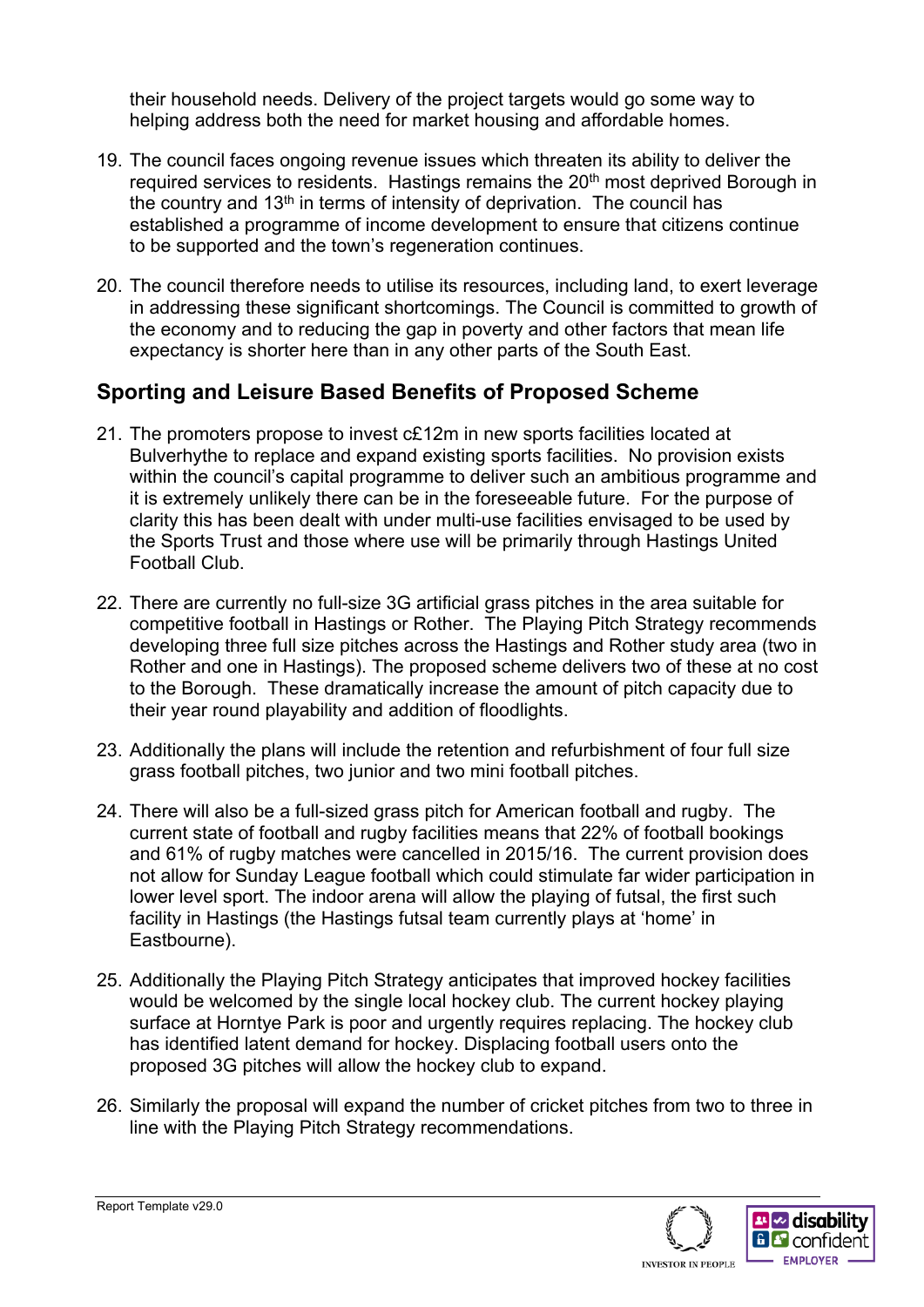their household needs. Delivery of the project targets would go some way to helping address both the need for market housing and affordable homes.

- 19. The council faces ongoing revenue issues which threaten its ability to deliver the required services to residents. Hastings remains the 20<sup>th</sup> most deprived Borough in the country and  $13<sup>th</sup>$  in terms of intensity of deprivation. The council has established a programme of income development to ensure that citizens continue to be supported and the town's regeneration continues.
- 20. The council therefore needs to utilise its resources, including land, to exert leverage in addressing these significant shortcomings. The Council is committed to growth of the economy and to reducing the gap in poverty and other factors that mean life expectancy is shorter here than in any other parts of the South East.

### **Sporting and Leisure Based Benefits of Proposed Scheme**

- 21. The promoters propose to invest c£12m in new sports facilities located at Bulverhythe to replace and expand existing sports facilities. No provision exists within the council's capital programme to deliver such an ambitious programme and it is extremely unlikely there can be in the foreseeable future. For the purpose of clarity this has been dealt with under multi-use facilities envisaged to be used by the Sports Trust and those where use will be primarily through Hastings United Football Club.
- 22. There are currently no full-size 3G artificial grass pitches in the area suitable for competitive football in Hastings or Rother. The Playing Pitch Strategy recommends developing three full size pitches across the Hastings and Rother study area (two in Rother and one in Hastings). The proposed scheme delivers two of these at no cost to the Borough. These dramatically increase the amount of pitch capacity due to their year round playability and addition of floodlights.
- 23. Additionally the plans will include the retention and refurbishment of four full size grass football pitches, two junior and two mini football pitches.
- 24. There will also be a full-sized grass pitch for American football and rugby. The current state of football and rugby facilities means that 22% of football bookings and 61% of rugby matches were cancelled in 2015/16. The current provision does not allow for Sunday League football which could stimulate far wider participation in lower level sport. The indoor arena will allow the playing of futsal, the first such facility in Hastings (the Hastings futsal team currently plays at 'home' in Eastbourne).
- 25. Additionally the Playing Pitch Strategy anticipates that improved hockey facilities would be welcomed by the single local hockey club. The current hockey playing surface at Horntye Park is poor and urgently requires replacing. The hockey club has identified latent demand for hockey. Displacing football users onto the proposed 3G pitches will allow the hockey club to expand.
- 26. Similarly the proposal will expand the number of cricket pitches from two to three in line with the Playing Pitch Strategy recommendations.

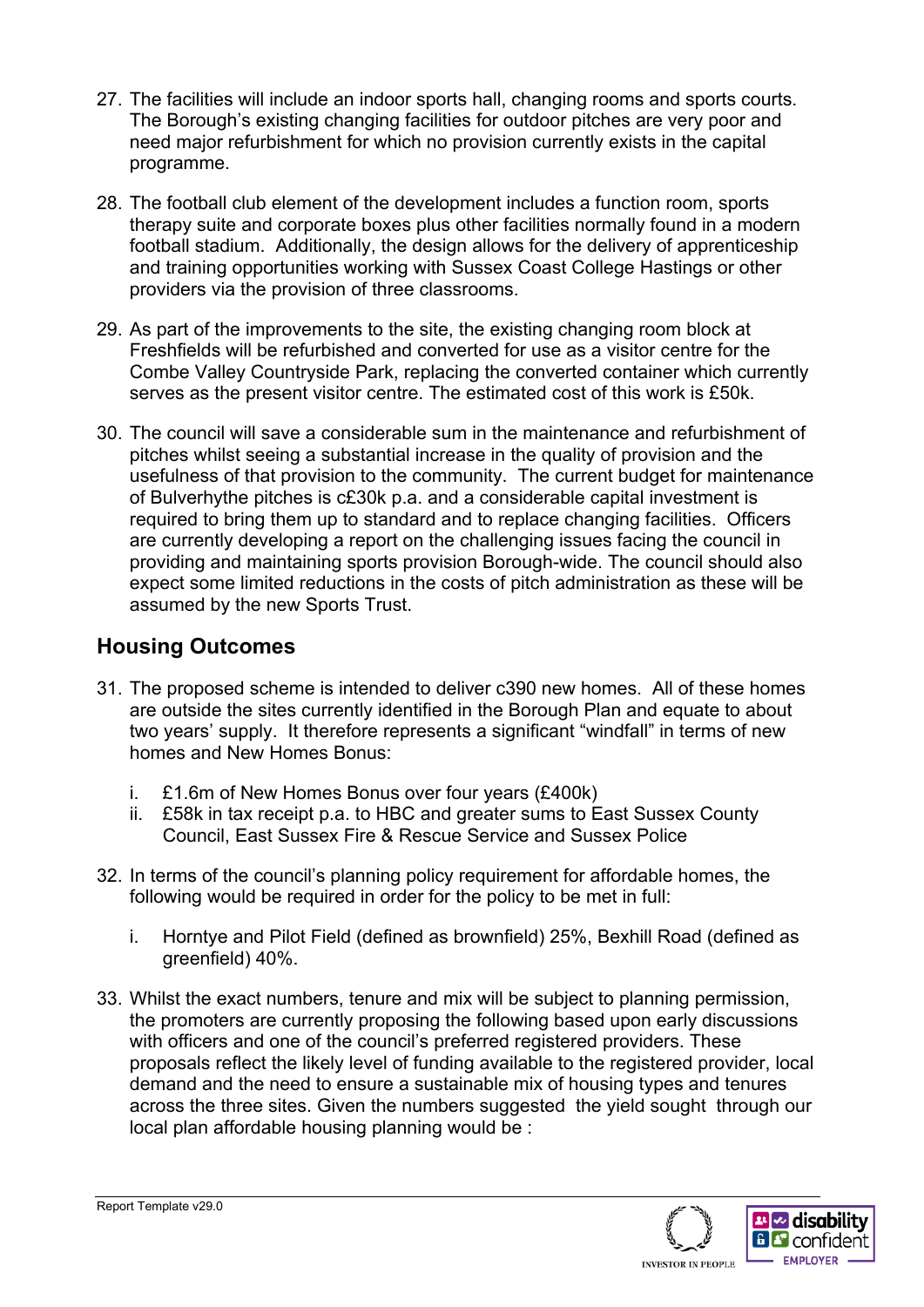- 27. The facilities will include an indoor sports hall, changing rooms and sports courts. The Borough's existing changing facilities for outdoor pitches are very poor and need major refurbishment for which no provision currently exists in the capital programme.
- 28. The football club element of the development includes a function room, sports therapy suite and corporate boxes plus other facilities normally found in a modern football stadium. Additionally, the design allows for the delivery of apprenticeship and training opportunities working with Sussex Coast College Hastings or other providers via the provision of three classrooms.
- 29. As part of the improvements to the site, the existing changing room block at Freshfields will be refurbished and converted for use as a visitor centre for the Combe Valley Countryside Park, replacing the converted container which currently serves as the present visitor centre. The estimated cost of this work is £50k.
- 30. The council will save a considerable sum in the maintenance and refurbishment of pitches whilst seeing a substantial increase in the quality of provision and the usefulness of that provision to the community. The current budget for maintenance of Bulverhythe pitches is c£30k p.a. and a considerable capital investment is required to bring them up to standard and to replace changing facilities. Officers are currently developing a report on the challenging issues facing the council in providing and maintaining sports provision Borough-wide. The council should also expect some limited reductions in the costs of pitch administration as these will be assumed by the new Sports Trust.

## **Housing Outcomes**

- 31. The proposed scheme is intended to deliver c390 new homes. All of these homes are outside the sites currently identified in the Borough Plan and equate to about two years' supply. It therefore represents a significant "windfall" in terms of new homes and New Homes Bonus:
	- i. £1.6m of New Homes Bonus over four years (£400k)
	- ii. £58k in tax receipt p.a. to HBC and greater sums to East Sussex County Council, East Sussex Fire & Rescue Service and Sussex Police
- 32. In terms of the council's planning policy requirement for affordable homes, the following would be required in order for the policy to be met in full:
	- i. Horntye and Pilot Field (defined as brownfield) 25%, Bexhill Road (defined as areenfield) 40%.
- 33. Whilst the exact numbers, tenure and mix will be subject to planning permission, the promoters are currently proposing the following based upon early discussions with officers and one of the council's preferred registered providers. These proposals reflect the likely level of funding available to the registered provider, local demand and the need to ensure a sustainable mix of housing types and tenures across the three sites. Given the numbers suggested the yield sought through our local plan affordable housing planning would be :

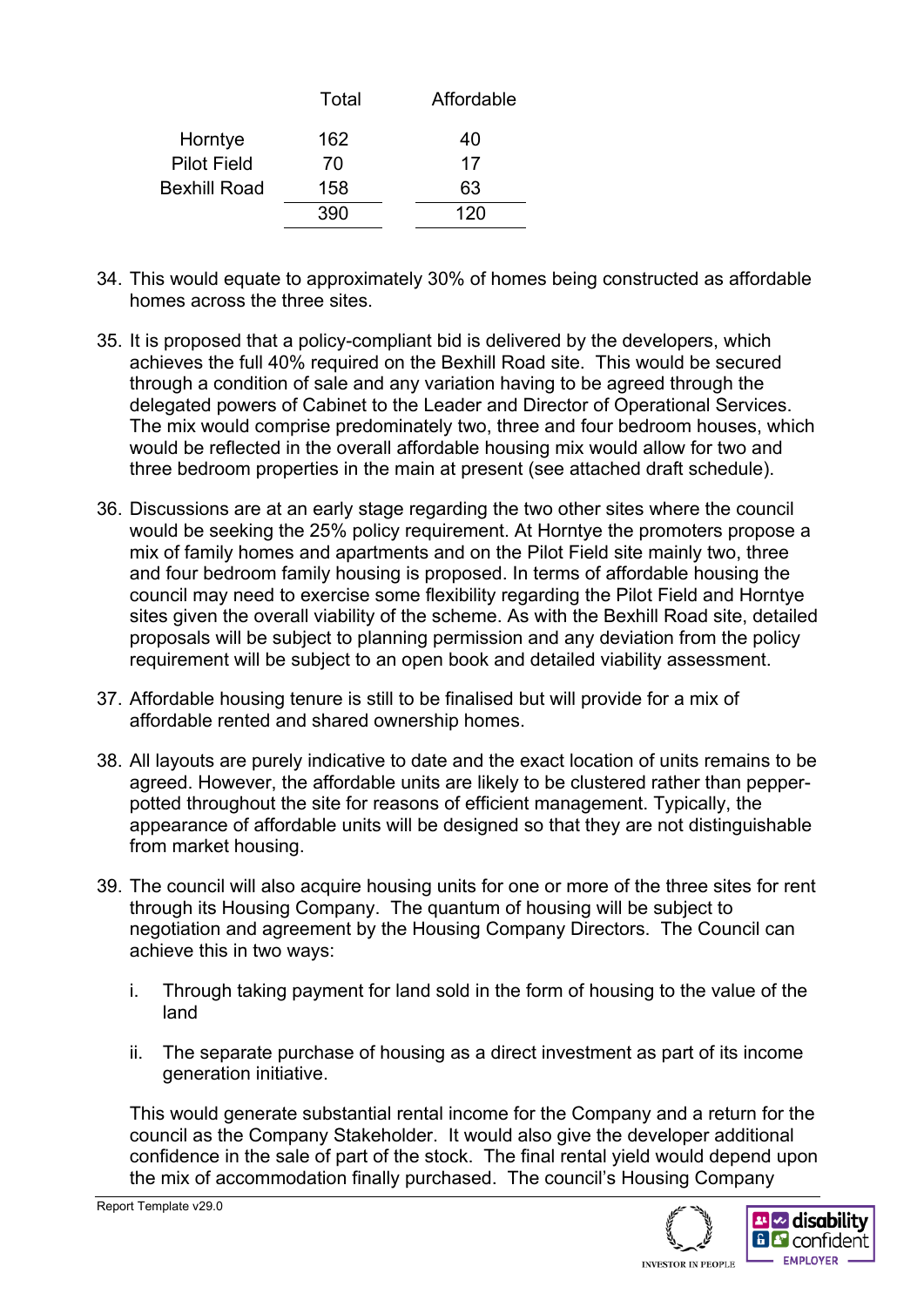|                     | Total | Affordable |
|---------------------|-------|------------|
| Horntye             | 162   | 40         |
| <b>Pilot Field</b>  | 70    | 17         |
| <b>Bexhill Road</b> | 158   | 63         |
|                     | 390   | 120        |

- 34. This would equate to approximately 30% of homes being constructed as affordable homes across the three sites.
- 35. It is proposed that a policy-compliant bid is delivered by the developers, which achieves the full 40% required on the Bexhill Road site. This would be secured through a condition of sale and any variation having to be agreed through the delegated powers of Cabinet to the Leader and Director of Operational Services. The mix would comprise predominately two, three and four bedroom houses, which would be reflected in the overall affordable housing mix would allow for two and three bedroom properties in the main at present (see attached draft schedule).
- 36. Discussions are at an early stage regarding the two other sites where the council would be seeking the 25% policy requirement. At Horntye the promoters propose a mix of family homes and apartments and on the Pilot Field site mainly two, three and four bedroom family housing is proposed. In terms of affordable housing the council may need to exercise some flexibility regarding the Pilot Field and Horntye sites given the overall viability of the scheme. As with the Bexhill Road site, detailed proposals will be subject to planning permission and any deviation from the policy requirement will be subject to an open book and detailed viability assessment.
- 37. Affordable housing tenure is still to be finalised but will provide for a mix of affordable rented and shared ownership homes.
- 38. All layouts are purely indicative to date and the exact location of units remains to be agreed. However, the affordable units are likely to be clustered rather than pepperpotted throughout the site for reasons of efficient management. Typically, the appearance of affordable units will be designed so that they are not distinguishable from market housing.
- 39. The council will also acquire housing units for one or more of the three sites for rent through its Housing Company. The quantum of housing will be subject to negotiation and agreement by the Housing Company Directors. The Council can achieve this in two ways:
	- i. Through taking payment for land sold in the form of housing to the value of the land
	- ii. The separate purchase of housing as a direct investment as part of its income generation initiative.

This would generate substantial rental income for the Company and a return for the council as the Company Stakeholder. It would also give the developer additional confidence in the sale of part of the stock. The final rental yield would depend upon the mix of accommodation finally purchased. The council's Housing Company



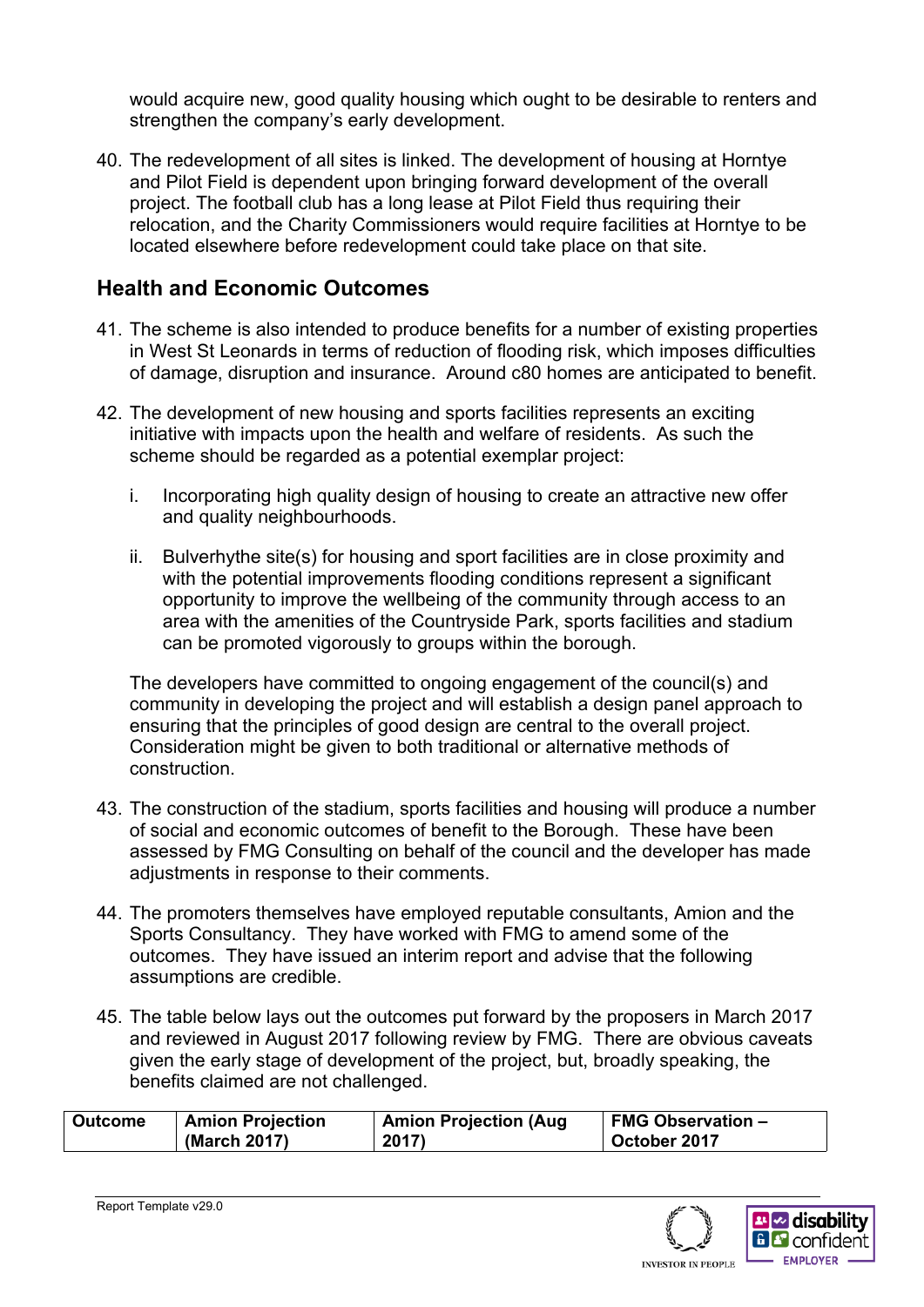would acquire new, good quality housing which ought to be desirable to renters and strengthen the company's early development.

40. The redevelopment of all sites is linked. The development of housing at Horntye and Pilot Field is dependent upon bringing forward development of the overall project. The football club has a long lease at Pilot Field thus requiring their relocation, and the Charity Commissioners would require facilities at Horntye to be located elsewhere before redevelopment could take place on that site.

### **Health and Economic Outcomes**

- 41. The scheme is also intended to produce benefits for a number of existing properties in West St Leonards in terms of reduction of flooding risk, which imposes difficulties of damage, disruption and insurance. Around c80 homes are anticipated to benefit.
- 42. The development of new housing and sports facilities represents an exciting initiative with impacts upon the health and welfare of residents. As such the scheme should be regarded as a potential exemplar project:
	- i. Incorporating high quality design of housing to create an attractive new offer and quality neighbourhoods.
	- ii. Bulverhythe site(s) for housing and sport facilities are in close proximity and with the potential improvements flooding conditions represent a significant opportunity to improve the wellbeing of the community through access to an area with the amenities of the Countryside Park, sports facilities and stadium can be promoted vigorously to groups within the borough.

The developers have committed to ongoing engagement of the council(s) and community in developing the project and will establish a design panel approach to ensuring that the principles of good design are central to the overall project. Consideration might be given to both traditional or alternative methods of construction.

- 43. The construction of the stadium, sports facilities and housing will produce a number of social and economic outcomes of benefit to the Borough. These have been assessed by FMG Consulting on behalf of the council and the developer has made adjustments in response to their comments.
- 44. The promoters themselves have employed reputable consultants, Amion and the Sports Consultancy. They have worked with FMG to amend some of the outcomes. They have issued an interim report and advise that the following assumptions are credible.
- 45. The table below lays out the outcomes put forward by the proposers in March 2017 and reviewed in August 2017 following review by FMG. There are obvious caveats given the early stage of development of the project, but, broadly speaking, the benefits claimed are not challenged.

| <b>Amion Projection</b><br><b>Outcome</b> |              | <b>Amion Projection (Aug</b> | <b>FMG Observation -</b> |  |
|-------------------------------------------|--------------|------------------------------|--------------------------|--|
|                                           | (March 2017) | 2017)                        | October 2017             |  |

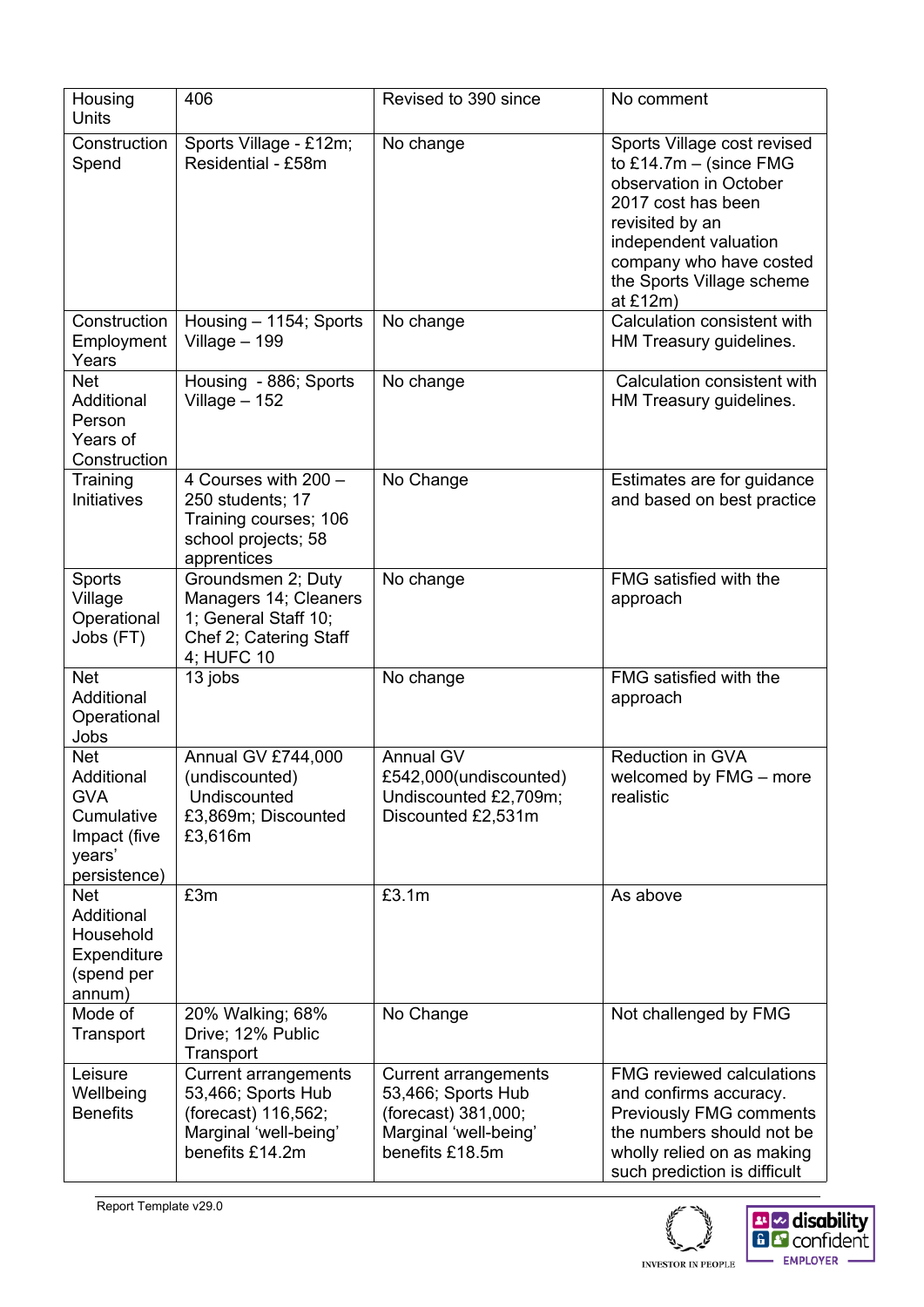| Housing<br><b>Units</b>                                                                        | 406                                                                                                                  | Revised to 390 since                                                                                                 | No comment                                                                                                                                                                                                                |  |
|------------------------------------------------------------------------------------------------|----------------------------------------------------------------------------------------------------------------------|----------------------------------------------------------------------------------------------------------------------|---------------------------------------------------------------------------------------------------------------------------------------------------------------------------------------------------------------------------|--|
| Construction<br>Spend                                                                          | Sports Village - £12m;<br>Residential - £58m                                                                         | No change                                                                                                            | Sports Village cost revised<br>to £14.7m $-$ (since FMG<br>observation in October<br>2017 cost has been<br>revisited by an<br>independent valuation<br>company who have costed<br>the Sports Village scheme<br>at $£12m)$ |  |
| Construction<br>Employment<br>Years                                                            | Housing - 1154; Sports<br>Village $-199$                                                                             | No change                                                                                                            | Calculation consistent with<br>HM Treasury guidelines.                                                                                                                                                                    |  |
| <b>Net</b><br>Additional<br>Person<br>Years of<br>Construction                                 | Housing - 886; Sports<br>Village $-152$                                                                              | No change                                                                                                            | Calculation consistent with<br>HM Treasury guidelines.                                                                                                                                                                    |  |
| Training<br>Initiatives                                                                        | 4 Courses with 200 -<br>250 students; 17<br>Training courses; 106<br>school projects; 58<br>apprentices              | No Change                                                                                                            | Estimates are for guidance<br>and based on best practice                                                                                                                                                                  |  |
| Sports<br>Village<br>Operational<br>Jobs (FT)                                                  | Groundsmen 2; Duty<br>Managers 14; Cleaners<br>1; General Staff 10;<br>Chef 2; Catering Staff<br>4; HUFC 10          | No change                                                                                                            | FMG satisfied with the<br>approach                                                                                                                                                                                        |  |
| <b>Net</b><br>Additional<br>Operational<br>Jobs                                                | 13 jobs                                                                                                              | No change                                                                                                            | FMG satisfied with the<br>approach                                                                                                                                                                                        |  |
| <b>Net</b><br>Additional<br><b>GVA</b><br>Cumulative<br>Impact (five<br>years'<br>persistence) | Annual GV £744,000<br>(undiscounted)<br>Undiscounted<br>£3,869m; Discounted<br>£3,616m                               | <b>Annual GV</b><br>£542,000(undiscounted)<br>Undiscounted £2,709m;<br>Discounted £2,531m                            | Reduction in GVA<br>welcomed by FMG - more<br>realistic                                                                                                                                                                   |  |
| <b>Net</b><br>Additional<br>Household<br>Expenditure<br>(spend per<br>annum)                   | £3m                                                                                                                  | £3.1m                                                                                                                | As above                                                                                                                                                                                                                  |  |
| Mode of<br>Transport                                                                           | 20% Walking; 68%<br>Drive; 12% Public<br>Transport                                                                   | No Change                                                                                                            | Not challenged by FMG                                                                                                                                                                                                     |  |
| Leisure<br>Wellbeing<br><b>Benefits</b>                                                        | <b>Current arrangements</b><br>53,466; Sports Hub<br>(forecast) 116,562;<br>Marginal 'well-being'<br>benefits £14.2m | <b>Current arrangements</b><br>53,466; Sports Hub<br>(forecast) 381,000;<br>Marginal 'well-being'<br>benefits £18.5m | <b>FMG reviewed calculations</b><br>and confirms accuracy.<br><b>Previously FMG comments</b><br>the numbers should not be<br>wholly relied on as making<br>such prediction is difficult                                   |  |



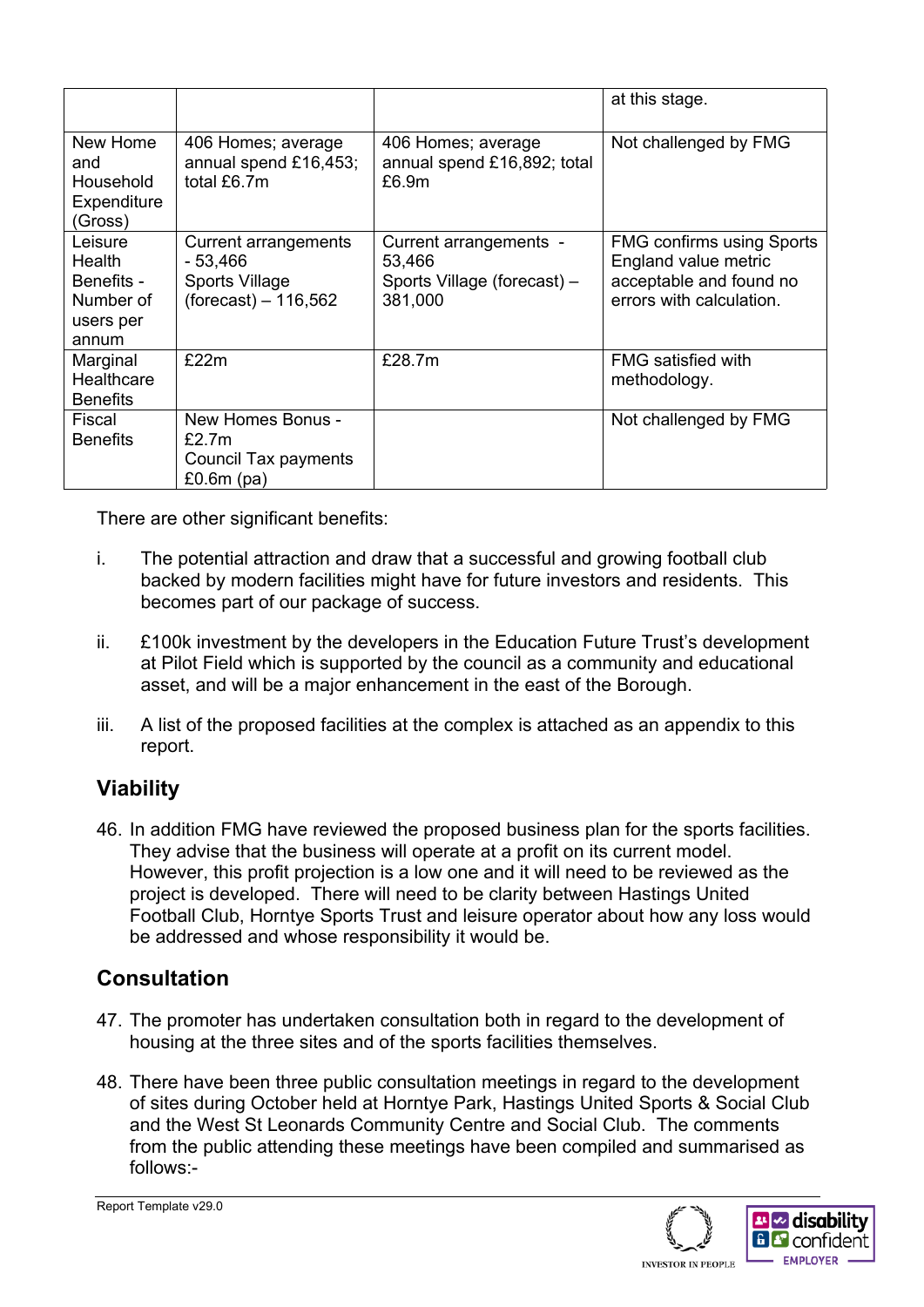|                                                                    |                                                                             |                                                                            | at this stage.                                                                                                  |
|--------------------------------------------------------------------|-----------------------------------------------------------------------------|----------------------------------------------------------------------------|-----------------------------------------------------------------------------------------------------------------|
| New Home<br>and<br>Household<br>Expenditure<br>(Gross)             | 406 Homes; average<br>annual spend £16,453;<br>total £6.7m                  | 406 Homes; average<br>annual spend £16,892; total<br>£6.9m                 | Not challenged by FMG                                                                                           |
| Leisure<br>Health<br>Benefits -<br>Number of<br>users per<br>annum | Current arrangements<br>$-53,466$<br>Sports Village<br>$(forest) - 116,562$ | Current arrangements -<br>53,466<br>Sports Village (forecast) -<br>381,000 | <b>FMG confirms using Sports</b><br>England value metric<br>acceptable and found no<br>errors with calculation. |
| Marginal<br>Healthcare<br><b>Benefits</b>                          | £22m                                                                        | £28.7m                                                                     | <b>FMG</b> satisfied with<br>methodology.                                                                       |
| Fiscal<br><b>Benefits</b>                                          | New Homes Bonus -<br>£2.7m<br>Council Tax payments<br>£0.6 $m$ (pa)         |                                                                            | Not challenged by FMG                                                                                           |

There are other significant benefits:

- i. The potential attraction and draw that a successful and growing football club backed by modern facilities might have for future investors and residents. This becomes part of our package of success.
- ii. £100k investment by the developers in the Education Future Trust's development at Pilot Field which is supported by the council as a community and educational asset, and will be a major enhancement in the east of the Borough.
- iii. A list of the proposed facilities at the complex is attached as an appendix to this report.

## **Viability**

46. In addition FMG have reviewed the proposed business plan for the sports facilities. They advise that the business will operate at a profit on its current model. However, this profit projection is a low one and it will need to be reviewed as the project is developed. There will need to be clarity between Hastings United Football Club, Horntye Sports Trust and leisure operator about how any loss would be addressed and whose responsibility it would be.

## **Consultation**

- 47. The promoter has undertaken consultation both in regard to the development of housing at the three sites and of the sports facilities themselves.
- 48. There have been three public consultation meetings in regard to the development of sites during October held at Horntye Park, Hastings United Sports & Social Club and the West St Leonards Community Centre and Social Club. The comments from the public attending these meetings have been compiled and summarised as follows:-



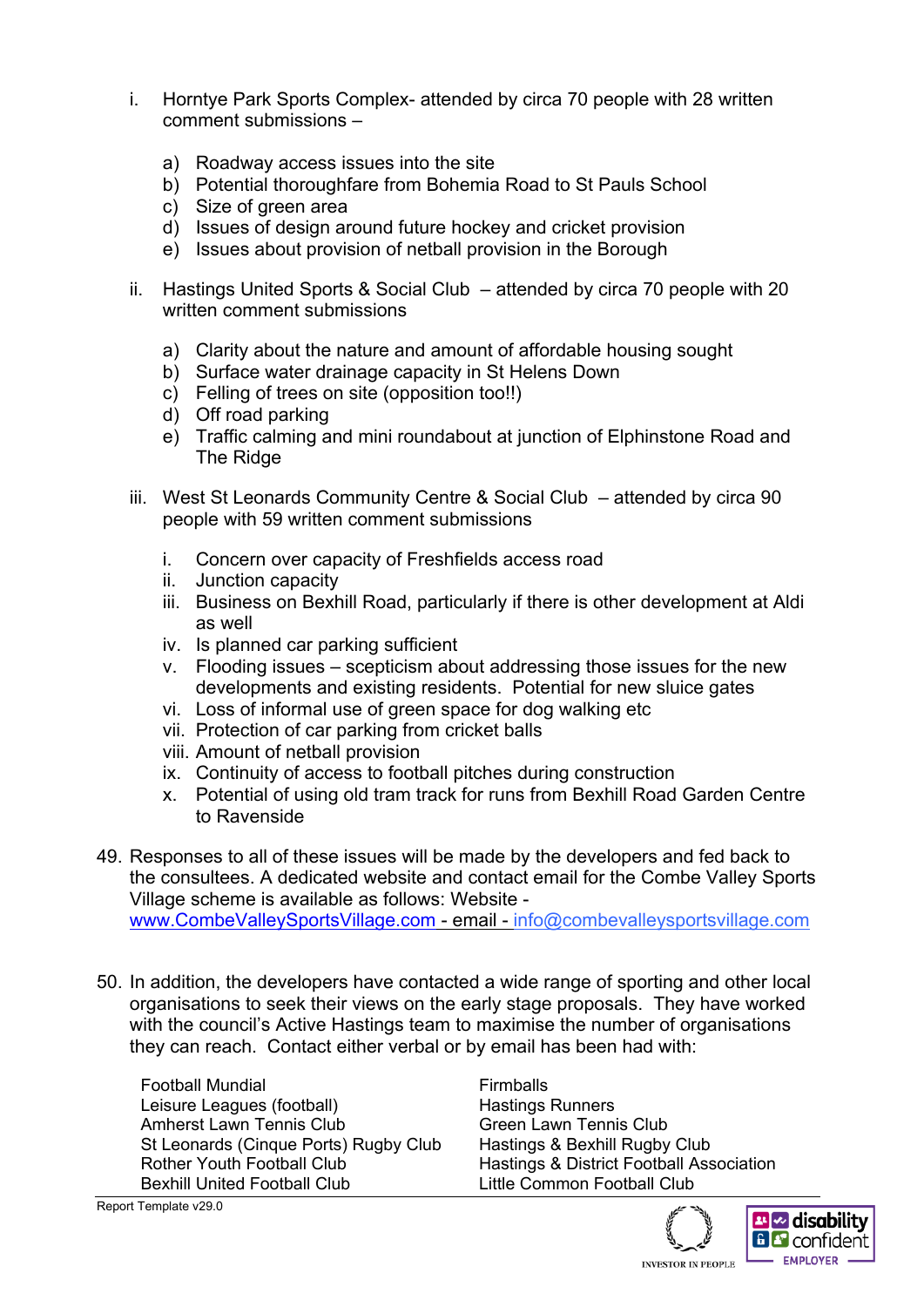- i. Horntye Park Sports Complex- attended by circa 70 people with 28 written comment submissions –
	- a) Roadway access issues into the site
	- b) Potential thoroughfare from Bohemia Road to St Pauls School
	- c) Size of green area
	- d) Issues of design around future hockey and cricket provision
	- e) Issues about provision of netball provision in the Borough
- ii. Hastings United Sports & Social Club attended by circa 70 people with 20 written comment submissions
	- a) Clarity about the nature and amount of affordable housing sought
	- b) Surface water drainage capacity in St Helens Down
	- c) Felling of trees on site (opposition too!!)
	- d) Off road parking
	- e) Traffic calming and mini roundabout at junction of Elphinstone Road and The Ridge
- iii. West St Leonards Community Centre & Social Club attended by circa 90 people with 59 written comment submissions
	- i. Concern over capacity of Freshfields access road
	- ii. Junction capacity
	- iii. Business on Bexhill Road, particularly if there is other development at Aldi as well
	- iv. Is planned car parking sufficient
	- v. Flooding issues scepticism about addressing those issues for the new developments and existing residents. Potential for new sluice gates
	- vi. Loss of informal use of green space for dog walking etc
	- vii. Protection of car parking from cricket balls
	- viii. Amount of netball provision
	- ix. Continuity of access to football pitches during construction
	- x. Potential of using old tram track for runs from Bexhill Road Garden Centre to Ravenside
- 49. Responses to all of these issues will be made by the developers and fed back to the consultees. A dedicated website and contact email for the Combe Valley Sports Village scheme is available as follows: Website [www.CombeValleySportsVillage.com](http://www.combevalleysportsvillage.com/) - email - info@combevalleysportsvillage.com
- 50. In addition, the developers have contacted a wide range of sporting and other local organisations to seek their views on the early stage proposals. They have worked with the council's Active Hastings team to maximise the number of organisations they can reach. Contact either verbal or by email has been had with:

Football Mundial Firmballs Leisure Leagues (football)<br>
Amherst Lawn Tennis Club<br>
Green Lawn Tennis Club Amherst Lawn Tennis Club St Leonards (Cinque Ports) Rugby Club Hastings & Bexhill Rugby Club Rother Youth Football Club Hastings & District Football Association Bexhill United Football Club Little Common Football Club

Report Template v29.0

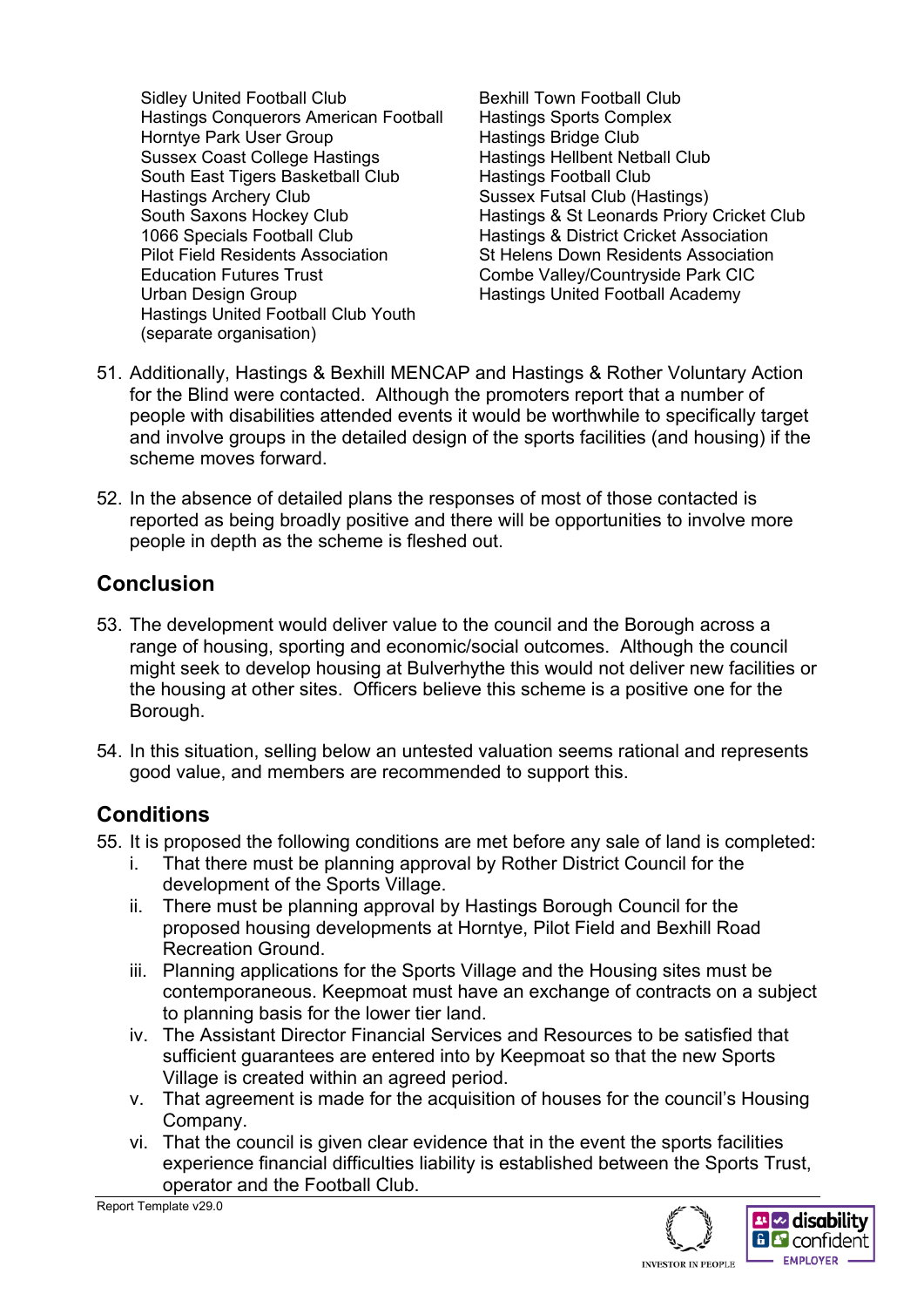Sidley United Football Club Bexhill Town Football Club Hastings Conquerors American Football Hastings Sports Complex Horntye Park User Group Hastings Bridge Club Sussex Coast College Hastings **Hastings Hellbent Netball Club** South East Tigers Basketball Club Hastings Football Club Hastings Archery Club Sussex Futsal Club (Hastings) 1066 Specials Football Club Hastings & District Cricket Association Pilot Field Residents Association St Helens Down Residents Association Education Futures Trust Combe Valley/Countryside Park CIC Urban Design Group **Hastings United Football Academy** Hastings United Football Club Youth (separate organisation)

South Saxons Hockey Club Hastings & St Leonards Priory Cricket Club

- 51. Additionally, Hastings & Bexhill MENCAP and Hastings & Rother Voluntary Action for the Blind were contacted. Although the promoters report that a number of people with disabilities attended events it would be worthwhile to specifically target and involve groups in the detailed design of the sports facilities (and housing) if the scheme moves forward.
- 52. In the absence of detailed plans the responses of most of those contacted is reported as being broadly positive and there will be opportunities to involve more people in depth as the scheme is fleshed out.

## **Conclusion**

- 53. The development would deliver value to the council and the Borough across a range of housing, sporting and economic/social outcomes. Although the council might seek to develop housing at Bulverhythe this would not deliver new facilities or the housing at other sites. Officers believe this scheme is a positive one for the Borough.
- 54. In this situation, selling below an untested valuation seems rational and represents good value, and members are recommended to support this.

## **Conditions**

- 55. It is proposed the following conditions are met before any sale of land is completed:
	- i. That there must be planning approval by Rother District Council for the development of the Sports Village.
	- ii. There must be planning approval by Hastings Borough Council for the proposed housing developments at Horntye, Pilot Field and Bexhill Road Recreation Ground.
	- iii. Planning applications for the Sports Village and the Housing sites must be contemporaneous. Keepmoat must have an exchange of contracts on a subject to planning basis for the lower tier land.
	- iv. The Assistant Director Financial Services and Resources to be satisfied that sufficient guarantees are entered into by Keepmoat so that the new Sports Village is created within an agreed period.
	- v. That agreement is made for the acquisition of houses for the council's Housing Company.
	- vi. That the council is given clear evidence that in the event the sports facilities experience financial difficulties liability is established between the Sports Trust, operator and the Football Club.

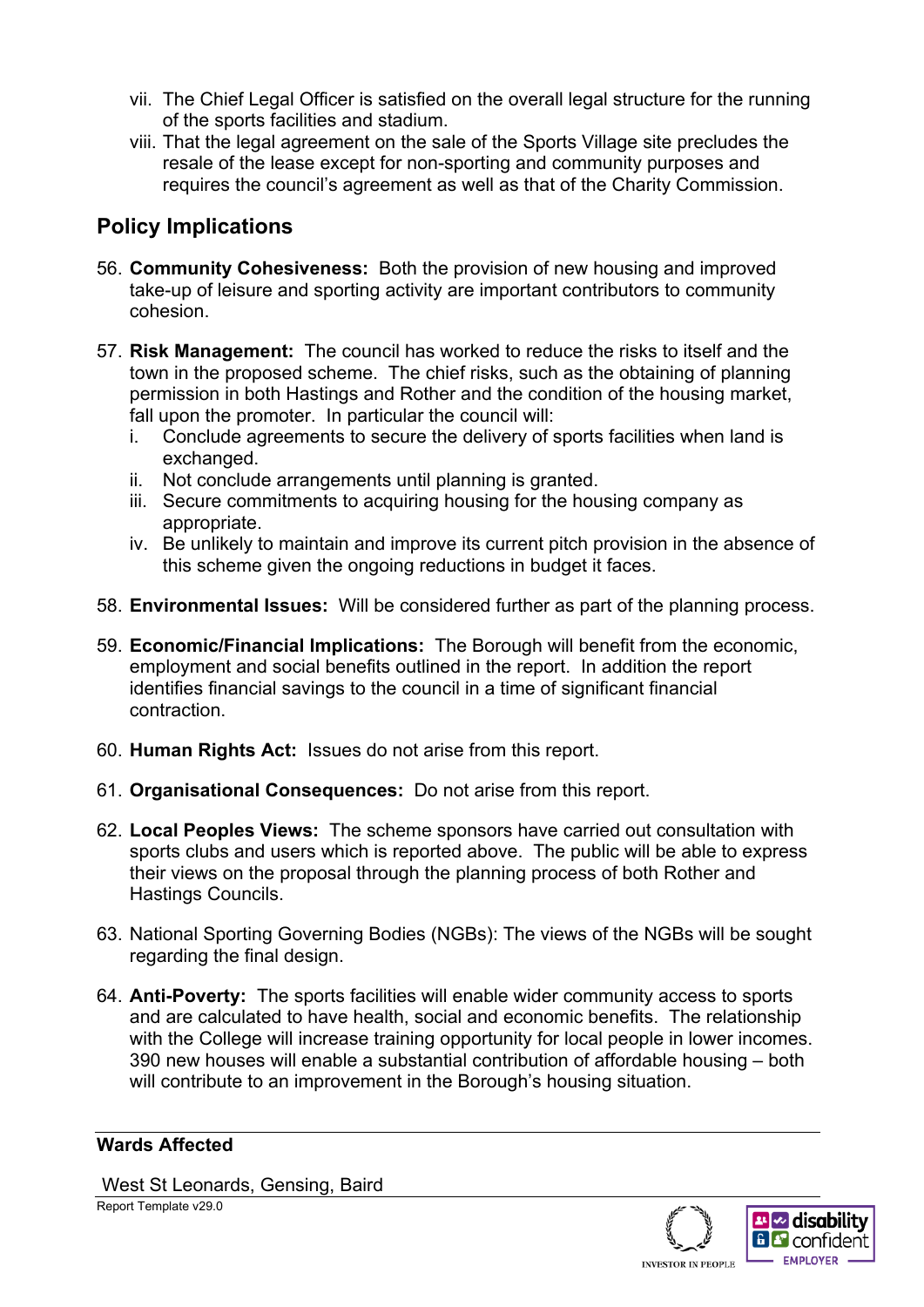- vii. The Chief Legal Officer is satisfied on the overall legal structure for the running of the sports facilities and stadium.
- viii. That the legal agreement on the sale of the Sports Village site precludes the resale of the lease except for non-sporting and community purposes and requires the council's agreement as well as that of the Charity Commission.

## **Policy Implications**

- 56. **Community Cohesiveness:** Both the provision of new housing and improved take-up of leisure and sporting activity are important contributors to community cohesion.
- 57. **Risk Management:** The council has worked to reduce the risks to itself and the town in the proposed scheme. The chief risks, such as the obtaining of planning permission in both Hastings and Rother and the condition of the housing market, fall upon the promoter. In particular the council will:
	- i. Conclude agreements to secure the delivery of sports facilities when land is exchanged.
	- ii. Not conclude arrangements until planning is granted.
	- iii. Secure commitments to acquiring housing for the housing company as appropriate.
	- iv. Be unlikely to maintain and improve its current pitch provision in the absence of this scheme given the ongoing reductions in budget it faces.
- 58. **Environmental Issues:** Will be considered further as part of the planning process.
- 59. **Economic/Financial Implications:** The Borough will benefit from the economic, employment and social benefits outlined in the report. In addition the report identifies financial savings to the council in a time of significant financial contraction.
- 60. **Human Rights Act:** Issues do not arise from this report.
- 61. **Organisational Consequences:** Do not arise from this report.
- 62. **Local Peoples Views:** The scheme sponsors have carried out consultation with sports clubs and users which is reported above. The public will be able to express their views on the proposal through the planning process of both Rother and Hastings Councils.
- 63. National Sporting Governing Bodies (NGBs): The views of the NGBs will be sought regarding the final design.
- 64. **Anti-Poverty:** The sports facilities will enable wider community access to sports and are calculated to have health, social and economic benefits. The relationship with the College will increase training opportunity for local people in lower incomes. 390 new houses will enable a substantial contribution of affordable housing – both will contribute to an improvement in the Borough's housing situation.

#### **Wards Affected**

Report Template v29.0 West St Leonards, Gensing, Baird

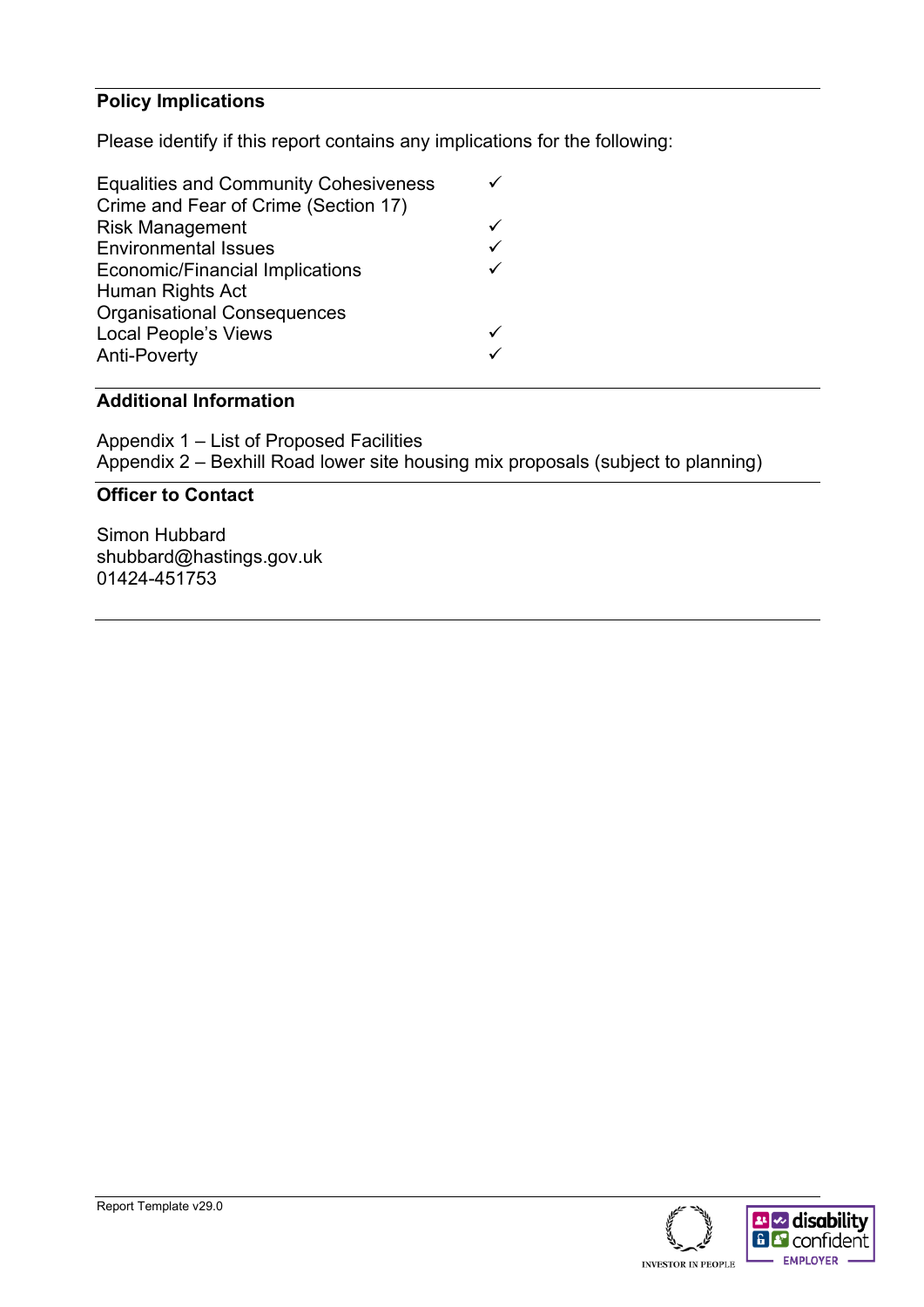#### **Policy Implications**

Please identify if this report contains any implications for the following:

| <b>Equalities and Community Cohesiveness</b> |   |
|----------------------------------------------|---|
| Crime and Fear of Crime (Section 17)         |   |
| <b>Risk Management</b>                       |   |
| <b>Environmental Issues</b>                  | ✓ |
| <b>Economic/Financial Implications</b>       | ✓ |
| Human Rights Act                             |   |
| <b>Organisational Consequences</b>           |   |
| <b>Local People's Views</b>                  |   |
| <b>Anti-Poverty</b>                          |   |
|                                              |   |

#### **Additional Information**

Appendix 1 – List of Proposed Facilities Appendix 2 – Bexhill Road lower site housing mix proposals (subject to planning)

#### **Officer to Contact**

Simon Hubbard shubbard@hastings.gov.uk 01424-451753

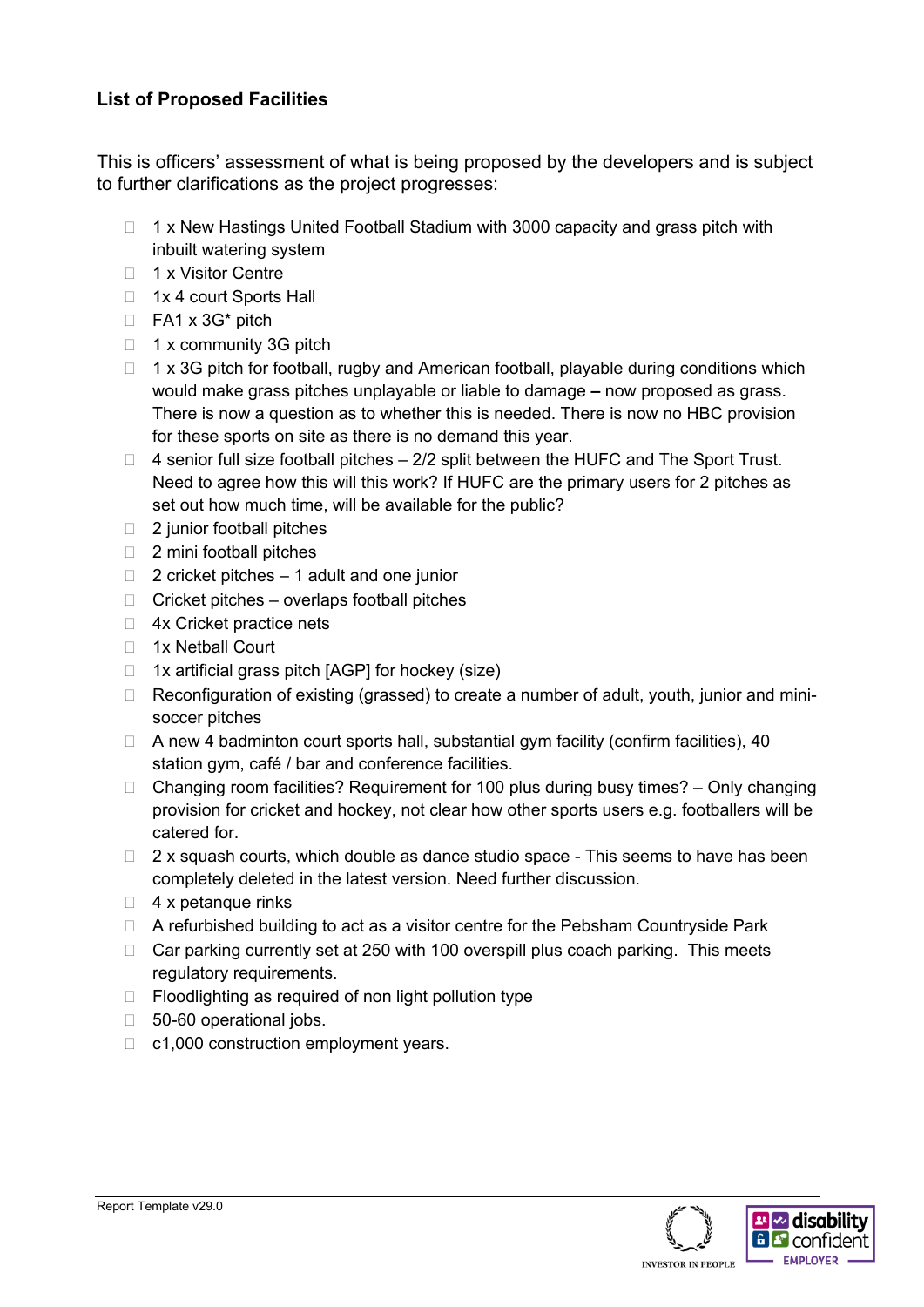#### **List of Proposed Facilities**

This is officers' assessment of what is being proposed by the developers and is subject to further clarifications as the project progresses:

- $\Box$  1 x New Hastings United Football Stadium with 3000 capacity and grass pitch with inbuilt watering system
- □ 1 x Visitor Centre
- □ 1x 4 court Sports Hall
- $\Box$  FA1 x 3G\* pitch
- $\Box$  1 x community 3G pitch
- $\Box$  1 x 3G pitch for football, rugby and American football, playable during conditions which would make grass pitches unplayable or liable to damage **–** now proposed as grass. There is now a question as to whether this is needed. There is now no HBC provision for these sports on site as there is no demand this year.
- $\Box$  4 senior full size football pitches  $-2/2$  split between the HUFC and The Sport Trust. Need to agree how this will this work? If HUFC are the primary users for 2 pitches as set out how much time, will be available for the public?
- $\Box$  2 junior football pitches
- $\Box$  2 mini football pitches
- $\Box$  2 cricket pitches 1 adult and one junior
- $\Box$  Cricket pitches overlaps football pitches
- □ 4x Cricket practice nets
- 1x Netball Court
- $\Box$  1x artificial grass pitch [AGP] for hockey (size)
- □ Reconfiguration of existing (grassed) to create a number of adult, youth, junior and minisoccer pitches
- $\Box$  A new 4 badminton court sports hall, substantial gym facility (confirm facilities), 40 station gym, café / bar and conference facilities.
- $\Box$  Changing room facilities? Requirement for 100 plus during busy times? Only changing provision for cricket and hockey, not clear how other sports users e.g. footballers will be catered for.
- $\Box$  2 x squash courts, which double as dance studio space This seems to have has been completely deleted in the latest version. Need further discussion.
- $\Box$  4 x petanque rinks
- $\Box$  A refurbished building to act as a visitor centre for the Pebsham Countryside Park
- $\Box$  Car parking currently set at 250 with 100 overspill plus coach parking. This meets regulatory requirements.
- $\Box$  Floodlighting as required of non light pollution type
- □ 50-60 operational jobs.
- $\Box$  c1,000 construction employment years.